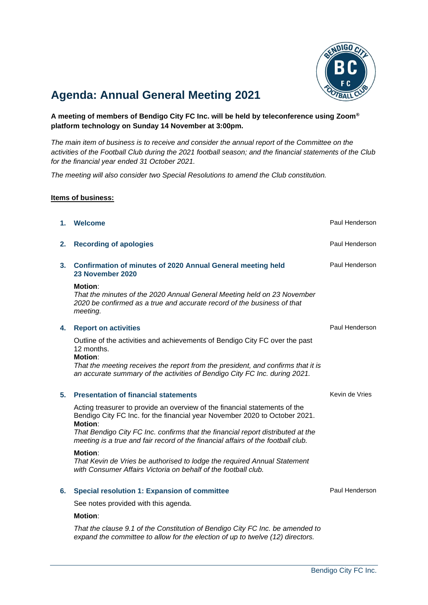

# **Agenda: Annual General Meeting 2021**

**A meeting of members of Bendigo City FC Inc. will be held by teleconference using Zoom® platform technology on Sunday 14 November at 3:00pm.**

*The main item of business is to receive and consider the annual report of the Committee on the activities of the Football Club during the 2021 football season; and the financial statements of the Club for the financial year ended 31 October 2021.*

*The meeting will also consider two Special Resolutions to amend the Club constitution.*

## **Items of business:**

| 1.             | Welcome                                                                                                                                                                                                                                                                                                                                    | Paul Henderson |
|----------------|--------------------------------------------------------------------------------------------------------------------------------------------------------------------------------------------------------------------------------------------------------------------------------------------------------------------------------------------|----------------|
| 2.             | <b>Recording of apologies</b>                                                                                                                                                                                                                                                                                                              | Paul Henderson |
| 3 <sub>1</sub> | <b>Confirmation of minutes of 2020 Annual General meeting held</b><br>23 November 2020                                                                                                                                                                                                                                                     | Paul Henderson |
|                | <b>Motion:</b><br>That the minutes of the 2020 Annual General Meeting held on 23 November<br>2020 be confirmed as a true and accurate record of the business of that<br>meeting.                                                                                                                                                           |                |
| 4.             | <b>Report on activities</b>                                                                                                                                                                                                                                                                                                                | Paul Henderson |
|                | Outline of the activities and achievements of Bendigo City FC over the past<br>12 months.<br><b>Motion:</b><br>That the meeting receives the report from the president, and confirms that it is<br>an accurate summary of the activities of Bendigo City FC Inc. during 2021.                                                              |                |
| 5.             | <b>Presentation of financial statements</b>                                                                                                                                                                                                                                                                                                | Kevin de Vries |
|                | Acting treasurer to provide an overview of the financial statements of the<br>Bendigo City FC Inc. for the financial year November 2020 to October 2021.<br>Motion:<br>That Bendigo City FC Inc. confirms that the financial report distributed at the<br>meeting is a true and fair record of the financial affairs of the football club. |                |
|                | <b>Motion:</b><br>That Kevin de Vries be authorised to lodge the required Annual Statement<br>with Consumer Affairs Victoria on behalf of the football club.                                                                                                                                                                               |                |
| 6.             | <b>Special resolution 1: Expansion of committee</b>                                                                                                                                                                                                                                                                                        | Paul Henderson |
|                | See notes provided with this agenda.                                                                                                                                                                                                                                                                                                       |                |
|                | <b>Motion:</b>                                                                                                                                                                                                                                                                                                                             |                |

*That the clause 9.1 of the Constitution of Bendigo City FC Inc. be amended to expand the committee to allow for the election of up to twelve (12) directors.*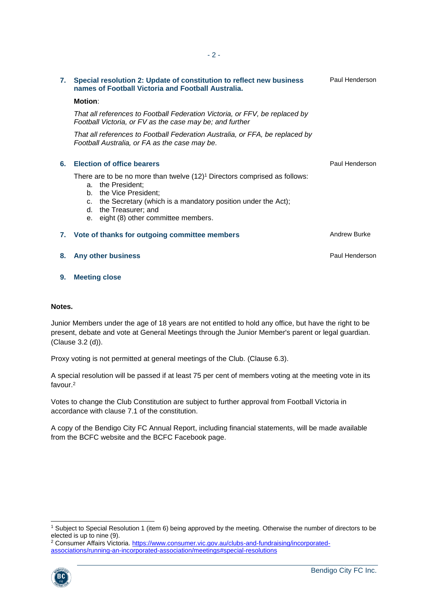Paul Henderson

|    | 7. Special resolution 2: Update of constitution to reflect new business<br>names of Football Victoria and Football Australia.                                                                                                                                       | Paul Henderson |
|----|---------------------------------------------------------------------------------------------------------------------------------------------------------------------------------------------------------------------------------------------------------------------|----------------|
|    | <b>Motion:</b>                                                                                                                                                                                                                                                      |                |
|    | That all references to Football Federation Victoria, or FFV, be replaced by<br>Football Victoria, or FV as the case may be; and further                                                                                                                             |                |
|    | That all references to Football Federation Australia, or FFA, be replaced by<br>Football Australia, or FA as the case may be.                                                                                                                                       |                |
| 6. | <b>Election of office bearers</b>                                                                                                                                                                                                                                   | Paul Henderson |
|    | There are to be no more than twelve $(12)^1$ Directors comprised as follows:<br>a. the President;<br>b. the Vice President;<br>c. the Secretary (which is a mandatory position under the Act);<br>the Treasurer; and<br>d.<br>e. eight (8) other committee members. |                |
|    | 7. Vote of thanks for outgoing committee members                                                                                                                                                                                                                    | Andrew Burke   |
| 8. | Any other business                                                                                                                                                                                                                                                  | Paul Henderson |

**9. Meeting close**

#### **Notes.**

Junior Members under the age of 18 years are not entitled to hold any office, but have the right to be present, debate and vote at General Meetings through the Junior Member's parent or legal guardian. (Clause 3.2 (d)).

Proxy voting is not permitted at general meetings of the Club. (Clause 6.3).

A special resolution will be passed if at least 75 per cent of members voting at the meeting vote in its favour. 2

Votes to change the Club Constitution are subject to further approval from Football Victoria in accordance with clause 7.1 of the constitution.

A copy of the Bendigo City FC Annual Report, including financial statements, will be made available from the BCFC website and the BCFC Facebook page.

<sup>2</sup> Consumer Affairs Victoria. [https://www.consumer.vic.gov.au/clubs-and-fundraising/incorporated](https://www.consumer.vic.gov.au/clubs-and-fundraising/incorporated-associations/running-an-incorporated-association/meetings#special-resolutions)[associations/running-an-incorporated-association/meetings#special-resolutions](https://www.consumer.vic.gov.au/clubs-and-fundraising/incorporated-associations/running-an-incorporated-association/meetings#special-resolutions)



<sup>1</sup> Subject to Special Resolution 1 (item 6) being approved by the meeting. Otherwise the number of directors to be elected is up to nine (9).